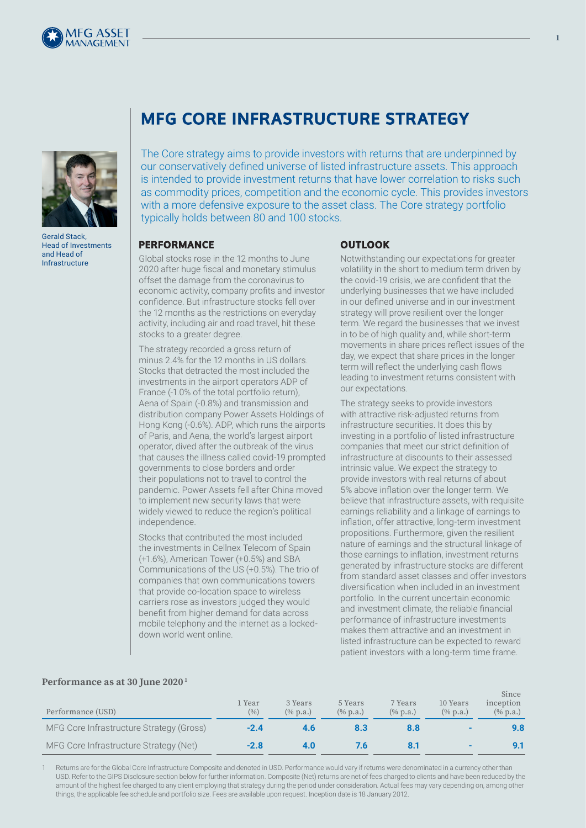



Gerald Stack, Head of Investments and Head of Infrastructure

# **MFG CORE INFRASTRUCTURE STRATEGY**

The Core strategy aims to provide investors with returns that are underpinned by our conservatively defined universe of listed infrastructure assets. This approach is intended to provide investment returns that have lower correlation to risks such as commodity prices, competition and the economic cycle. This provides investors with a more defensive exposure to the asset class. The Core strategy portfolio typically holds between 80 and 100 stocks.

#### **PERFORMANCE**

Global stocks rose in the 12 months to June 2020 after huge fiscal and monetary stimulus offset the damage from the coronavirus to economic activity, company profits and investor confidence. But infrastructure stocks fell over the 12 months as the restrictions on everyday activity, including air and road travel, hit these stocks to a greater degree.

The strategy recorded a gross return of minus 2.4% for the 12 months in US dollars. Stocks that detracted the most included the investments in the airport operators ADP of France (-1.0% of the total portfolio return), Aena of Spain (-0.8%) and transmission and distribution company Power Assets Holdings of Hong Kong (-0.6%). ADP, which runs the airports of Paris, and Aena, the world's largest airport operator, dived after the outbreak of the virus that causes the illness called covid-19 prompted governments to close borders and order their populations not to travel to control the pandemic. Power Assets fell after China moved to implement new security laws that were widely viewed to reduce the region's political independence.

Stocks that contributed the most included the investments in Cellnex Telecom of Spain (+1.6%), American Tower (+0.5%) and SBA Communications of the US (+0.5%). The trio of companies that own communications towers that provide co-location space to wireless carriers rose as investors judged they would benefit from higher demand for data across mobile telephony and the internet as a lockeddown world went online.

## **OUTLOOK**

Notwithstanding our expectations for greater volatility in the short to medium term driven by the covid-19 crisis, we are confident that the underlying businesses that we have included in our defined universe and in our investment strategy will prove resilient over the longer term. We regard the businesses that we invest in to be of high quality and, while short-term movements in share prices reflect issues of the day, we expect that share prices in the longer term will reflect the underlying cash flows leading to investment returns consistent with our expectations.

The strategy seeks to provide investors with attractive risk-adjusted returns from infrastructure securities. It does this by investing in a portfolio of listed infrastructure companies that meet our strict definition of infrastructure at discounts to their assessed intrinsic value. We expect the strategy to provide investors with real returns of about 5% above inflation over the longer term. We believe that infrastructure assets, with requisite earnings reliability and a linkage of earnings to inflation, offer attractive, long-term investment propositions. Furthermore, given the resilient nature of earnings and the structural linkage of those earnings to inflation, investment returns generated by infrastructure stocks are different from standard asset classes and offer investors diversification when included in an investment portfolio. In the current uncertain economic and investment climate, the reliable financial performance of infrastructure investments makes them attractive and an investment in listed infrastructure can be expected to reward patient investors with a long-term time frame.

### **Performance as at 30 June 2020 1**

| Performance (USD)                        | 1 Year<br>(9/0) | 3 Years<br>$(\%$ p.a.) | 5 Years<br>$(\%$ p.a.) | 7 Years<br>$(\%$ p.a.) | 10 Years<br>$(\%$ p.a.) | Since<br>inception<br>$(\%$ p.a.) |
|------------------------------------------|-----------------|------------------------|------------------------|------------------------|-------------------------|-----------------------------------|
| MFG Core Infrastructure Strategy (Gross) | $-2.4$          | 4.b                    |                        |                        |                         |                                   |
| MFG Core Infrastructure Strategy (Net)   | $-2.8$          |                        |                        |                        |                         |                                   |

Returns are for the Global Core Infrastructure Composite and denoted in USD. Performance would vary if returns were denominated in a currency other than USD. Refer to the GIPS Disclosure section below for further information. Composite (Net) returns are net of fees charged to clients and have been reduced by the amount of the highest fee charged to any client employing that strategy during the period under consideration. Actual fees may vary depending on, among other things, the applicable fee schedule and portfolio size. Fees are available upon request. Inception date is 18 January 2012.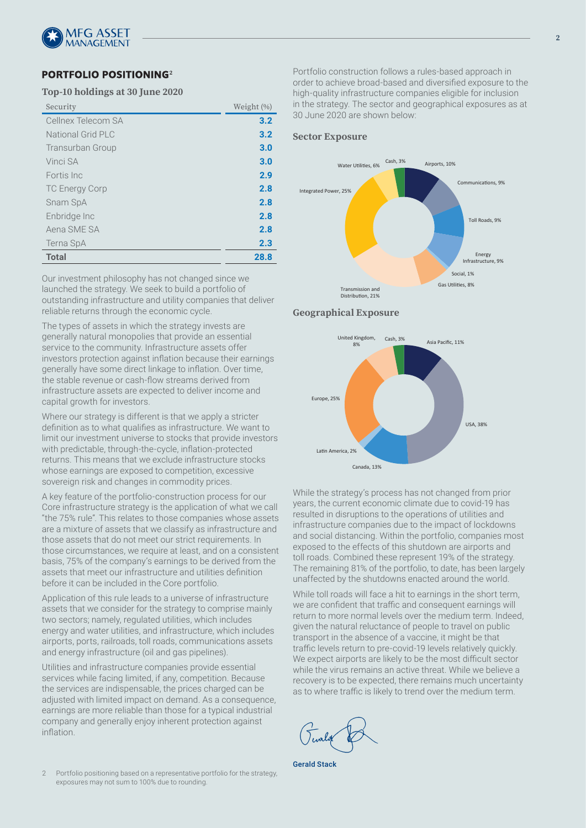

# **PORTFOLIO POSITIONING<sup>2</sup>**

#### **Top-10 holdings at 30 June 2020**

| Security              | Weight (%) |
|-----------------------|------------|
| Cellnex Telecom SA    | 3.2        |
| National Grid PLC     | 3.2        |
| Transurban Group      | 3.0        |
| Vinci SA              | 3.0        |
| Fortis Inc            | 2.9        |
| <b>TC Energy Corp</b> | 2.8        |
| Snam SpA              | 2.8        |
| Enbridge Inc          | 2.8        |
| Aena SME SA           | 2.8        |
| Terna SpA             | 2.3        |
| <b>Total</b>          | 28.8       |

Our investment philosophy has not changed since we launched the strategy. We seek to build a portfolio of outstanding infrastructure and utility companies that deliver reliable returns through the economic cycle.

The types of assets in which the strategy invests are generally natural monopolies that provide an essential service to the community. Infrastructure assets offer investors protection against inflation because their earnings generally have some direct linkage to inflation. Over time, the stable revenue or cash-flow streams derived from infrastructure assets are expected to deliver income and capital growth for investors.

Where our strategy is different is that we apply a stricter definition as to what qualifies as infrastructure. We want to limit our investment universe to stocks that provide investors with predictable, through-the-cycle, inflation-protected returns. This means that we exclude infrastructure stocks whose earnings are exposed to competition, excessive sovereign risk and changes in commodity prices.

A key feature of the portfolio-construction process for our Core infrastructure strategy is the application of what we call "the 75% rule". This relates to those companies whose assets are a mixture of assets that we classify as infrastructure and those assets that do not meet our strict requirements. In those circumstances, we require at least, and on a consistent basis, 75% of the company's earnings to be derived from the assets that meet our infrastructure and utilities definition before it can be included in the Core portfolio.

Application of this rule leads to a universe of infrastructure assets that we consider for the strategy to comprise mainly two sectors; namely, regulated utilities, which includes energy and water utilities, and infrastructure, which includes airports, ports, railroads, toll roads, communications assets and energy infrastructure (oil and gas pipelines).

Utilities and infrastructure companies provide essential services while facing limited, if any, competition. Because the services are indispensable, the prices charged can be adjusted with limited impact on demand. As a consequence, earnings are more reliable than those for a typical industrial company and generally enjoy inherent protection against inflation.

2 Portfolio positioning based on a representative portfolio for the strategy, exposures may not sum to 100% due to rounding.

Portfolio construction follows a rules-based approach in order to achieve broad-based and diversified exposure to the high-quality infrastructure companies eligible for inclusion in the strategy. The sector and geographical exposures as at 30 June 2020 are shown below:

#### **Sector Exposure**



#### **Geographical Exposure Geographical Exposure**



While the strategy's process has not changed from prior years, the current economic climate due to covid-19 has resulted in disruptions to the operations of utilities and infrastructure companies due to the impact of lockdowns and social distancing. Within the portfolio, companies most exposed to the effects of this shutdown are airports and toll roads. Combined these represent 19% of the strategy. The remaining 81% of the portfolio, to date, has been largely unaffected by the shutdowns enacted around the world.

While toll roads will face a hit to earnings in the short term, we are confident that traffic and consequent earnings will return to more normal levels over the medium term. Indeed, given the natural reluctance of people to travel on public transport in the absence of a vaccine, it might be that traffic levels return to pre-covid-19 levels relatively quickly. We expect airports are likely to be the most difficult sector while the virus remains an active threat. While we believe a recovery is to be expected, there remains much uncertainty as to where traffic is likely to trend over the medium term.

Gerald Stack